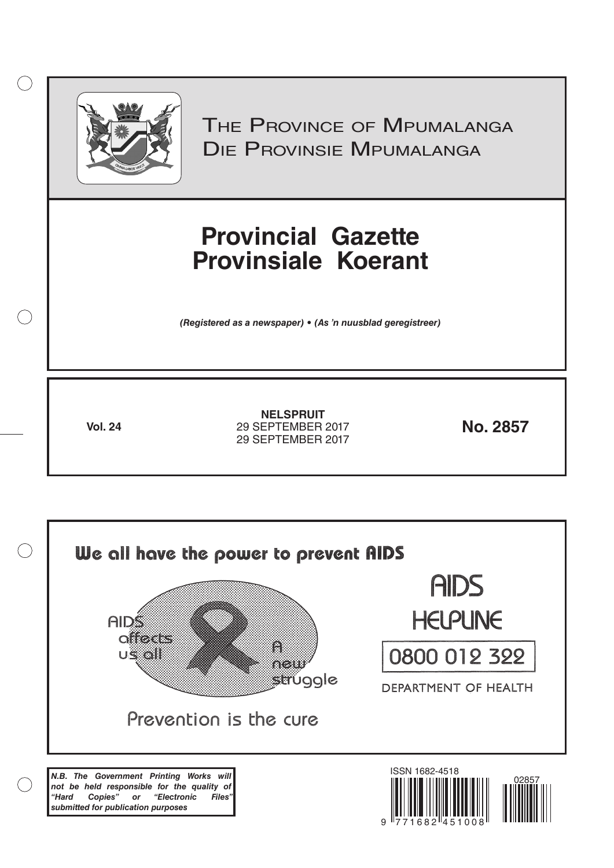

 $( )$ 

THE PROVINCE OF MPUMALANGA Die Provinsie Mpumalanga

# **Provincial Gazette Provinsiale Koerant**

*(Registered as a newspaper) • (As 'n nuusblad geregistreer)*

**Vol. 24 No. 2857** 29 SEPTEMBER 2017 **NELSPRUIT** 29 SEPTEMBER 2017

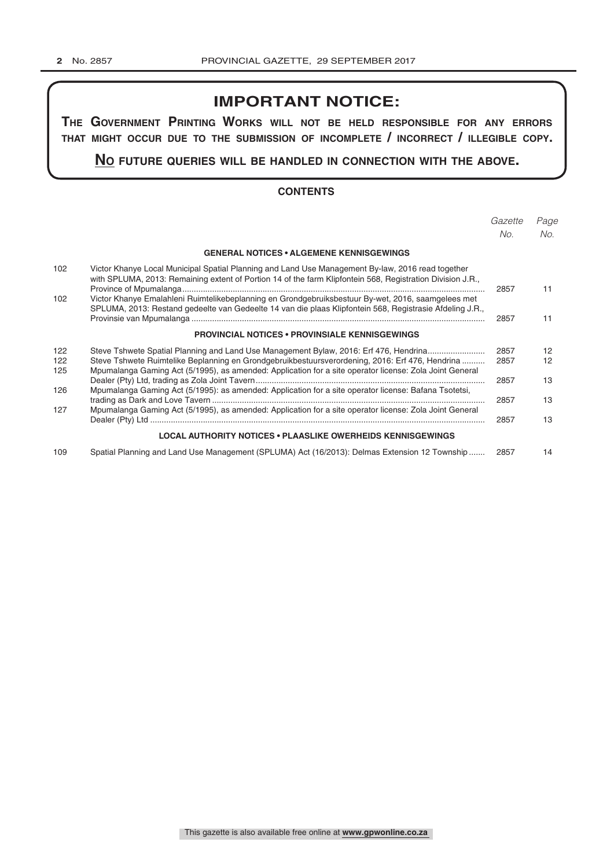## **IMPORTANT NOTICE:**

**The GovernmenT PrinTinG Works Will noT be held resPonsible for any errors ThaT miGhT occur due To The submission of incomPleTe / incorrecT / illeGible coPy.**

**no fuTure queries Will be handled in connecTion WiTh The above.**

### **CONTENTS**

|            |                                                                                                                                                                                                                 | Gazette | Page |
|------------|-----------------------------------------------------------------------------------------------------------------------------------------------------------------------------------------------------------------|---------|------|
|            |                                                                                                                                                                                                                 | No.     | No.  |
|            | <b>GENERAL NOTICES • ALGEMENE KENNISGEWINGS</b>                                                                                                                                                                 |         |      |
| 102        | Victor Khanye Local Municipal Spatial Planning and Land Use Management By-law, 2016 read together<br>with SPLUMA, 2013: Remaining extent of Portion 14 of the farm Klipfontein 568, Registration Division J.R., | 2857    | 11   |
| 102        | Victor Khanye Emalahleni Ruimtelikebeplanning en Grondgebruiksbestuur By-wet, 2016, saamgelees met<br>SPLUMA, 2013: Restand gedeelte van Gedeelte 14 van die plaas Klipfontein 568, Registrasie Afdeling J.R.,  | 2857    | 11   |
|            | <b>PROVINCIAL NOTICES • PROVINSIALE KENNISGEWINGS</b>                                                                                                                                                           |         |      |
| 122        | Steve Tshwete Spatial Planning and Land Use Management Bylaw, 2016: Erf 476, Hendrina                                                                                                                           | 2857    | 12   |
| 122<br>125 | Steve Tshwete Ruimtelike Beplanning en Grondgebruikbestuursverordening, 2016: Erf 476, Hendrina<br>Mpumalanga Gaming Act (5/1995), as amended: Application for a site operator license: Zola Joint General      | 2857    | 12   |
|            |                                                                                                                                                                                                                 | 2857    | 13   |
| 126        | Mpumalanga Gaming Act (5/1995): as amended: Application for a site operator license: Bafana Tsotetsi,                                                                                                           | 2857    | 13   |
| 127        | Mpumalanga Gaming Act (5/1995), as amended: Application for a site operator license: Zola Joint General                                                                                                         | 2857    | 13   |
|            | <b>LOCAL AUTHORITY NOTICES • PLAASLIKE OWERHEIDS KENNISGEWINGS</b>                                                                                                                                              |         |      |
| 109        | Spatial Planning and Land Use Management (SPLUMA) Act (16/2013): Delmas Extension 12 Township                                                                                                                   | 2857    | 14   |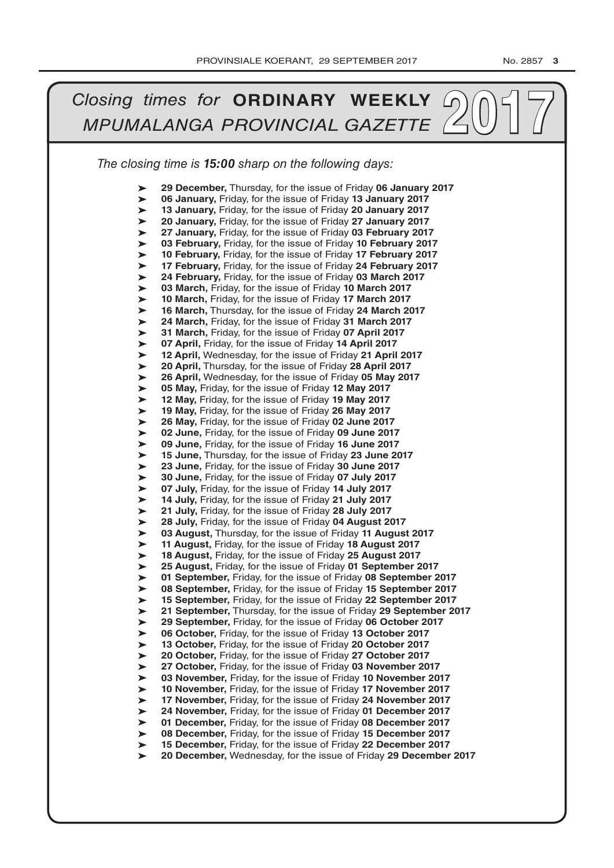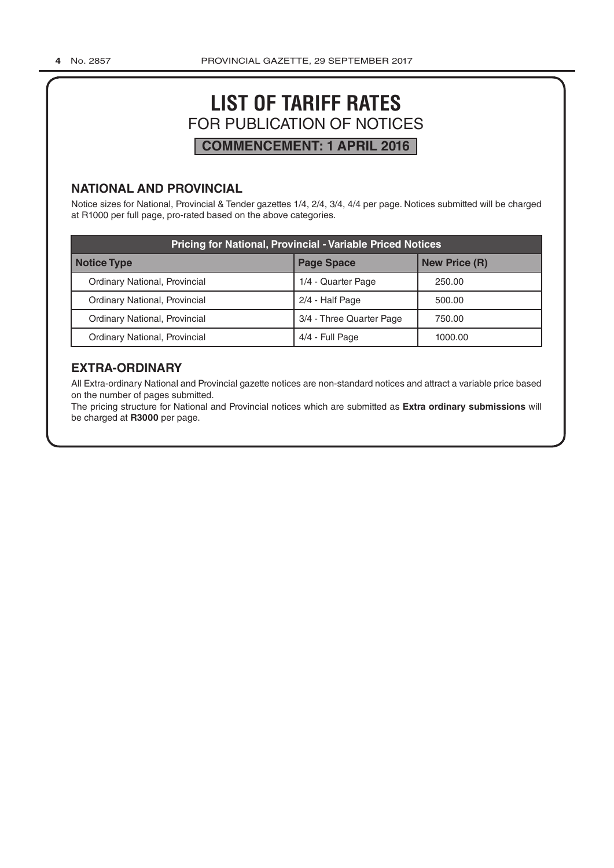## **LIST OF TARIFF RATES** FOR PUBLICATION OF NOTICES **COMMENCEMENT: 1 APRIL 2016**

## **NATIONAL AND PROVINCIAL**

Notice sizes for National, Provincial & Tender gazettes 1/4, 2/4, 3/4, 4/4 per page. Notices submitted will be charged at R1000 per full page, pro-rated based on the above categories.

| <b>Pricing for National, Provincial - Variable Priced Notices</b> |                          |                      |  |  |
|-------------------------------------------------------------------|--------------------------|----------------------|--|--|
| Notice Type                                                       | <b>Page Space</b>        | <b>New Price (R)</b> |  |  |
| Ordinary National, Provincial                                     | 1/4 - Quarter Page       | 250.00               |  |  |
| Ordinary National, Provincial                                     | 2/4 - Half Page          | 500.00               |  |  |
| Ordinary National, Provincial                                     | 3/4 - Three Quarter Page | 750.00               |  |  |
| Ordinary National, Provincial                                     | 4/4 - Full Page          | 1000.00              |  |  |

## **EXTRA-ORDINARY**

All Extra-ordinary National and Provincial gazette notices are non-standard notices and attract a variable price based on the number of pages submitted.

The pricing structure for National and Provincial notices which are submitted as **Extra ordinary submissions** will be charged at **R3000** per page.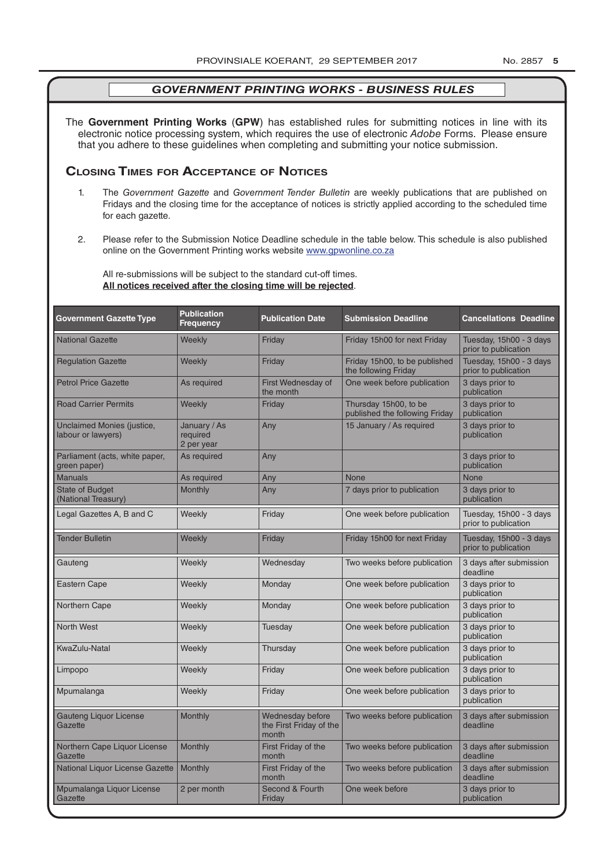The **Government Printing Works** (**GPW**) has established rules for submitting notices in line with its electronic notice processing system, which requires the use of electronic *Adobe* Forms. Please ensure that you adhere to these guidelines when completing and submitting your notice submission.

## **Closing Times for ACCepTAnCe of noTiCes**

- 1. The *Government Gazette* and *Government Tender Bulletin* are weekly publications that are published on Fridays and the closing time for the acceptance of notices is strictly applied according to the scheduled time for each gazette.
- 2. Please refer to the Submission Notice Deadline schedule in the table below. This schedule is also published online on the Government Printing works website www.gpwonline.co.za

All re-submissions will be subject to the standard cut-off times. **All notices received after the closing time will be rejected**.

| <b>Government Gazette Type</b>                   | <b>Publication</b><br><b>Frequency</b> | <b>Publication Date</b>                              | <b>Submission Deadline</b>                              | <b>Cancellations Deadline</b>                   |
|--------------------------------------------------|----------------------------------------|------------------------------------------------------|---------------------------------------------------------|-------------------------------------------------|
| <b>National Gazette</b>                          | Weekly                                 | Friday                                               | Friday 15h00 for next Friday                            | Tuesday, 15h00 - 3 days<br>prior to publication |
| <b>Regulation Gazette</b>                        | Weekly                                 | Friday                                               | Friday 15h00, to be published<br>the following Friday   | Tuesday, 15h00 - 3 days<br>prior to publication |
| <b>Petrol Price Gazette</b>                      | As required                            | First Wednesday of<br>the month                      | One week before publication                             | 3 days prior to<br>publication                  |
| <b>Road Carrier Permits</b>                      | Weekly                                 | Friday                                               | Thursday 15h00, to be<br>published the following Friday | 3 days prior to<br>publication                  |
| Unclaimed Monies (justice,<br>labour or lawyers) | January / As<br>required<br>2 per year | Any                                                  | 15 January / As required                                | 3 days prior to<br>publication                  |
| Parliament (acts, white paper,<br>green paper)   | As required                            | Any                                                  |                                                         | 3 days prior to<br>publication                  |
| <b>Manuals</b>                                   | As required                            | Any                                                  | None                                                    | <b>None</b>                                     |
| <b>State of Budget</b><br>(National Treasury)    | <b>Monthly</b>                         | Any                                                  | 7 days prior to publication                             | 3 days prior to<br>publication                  |
| Legal Gazettes A, B and C                        | Weekly                                 | Friday                                               | One week before publication                             | Tuesday, 15h00 - 3 days<br>prior to publication |
| <b>Tender Bulletin</b>                           | Weekly                                 | Friday                                               | Friday 15h00 for next Friday                            | Tuesday, 15h00 - 3 days<br>prior to publication |
| Gauteng                                          | Weekly                                 | Wednesday                                            | Two weeks before publication                            | 3 days after submission<br>deadline             |
| <b>Eastern Cape</b>                              | Weekly                                 | Monday                                               | One week before publication                             | 3 days prior to<br>publication                  |
| Northern Cape                                    | Weekly                                 | Monday                                               | One week before publication                             | 3 days prior to<br>publication                  |
| <b>North West</b>                                | Weekly                                 | Tuesday                                              | One week before publication                             | 3 days prior to<br>publication                  |
| KwaZulu-Natal                                    | Weekly                                 | Thursday                                             | One week before publication                             | 3 days prior to<br>publication                  |
| Limpopo                                          | Weekly                                 | Friday                                               | One week before publication                             | 3 days prior to<br>publication                  |
| Mpumalanga                                       | Weekly                                 | Friday                                               | One week before publication                             | 3 days prior to<br>publication                  |
| <b>Gauteng Liquor License</b><br>Gazette         | Monthly                                | Wednesday before<br>the First Friday of the<br>month | Two weeks before publication                            | 3 days after submission<br>deadline             |
| Northern Cape Liquor License<br>Gazette          | Monthly                                | First Friday of the<br>month                         | Two weeks before publication                            | 3 days after submission<br>deadline             |
| National Liquor License Gazette                  | <b>Monthly</b>                         | First Friday of the<br>month                         | Two weeks before publication                            | 3 days after submission<br>deadline             |
| Mpumalanga Liquor License<br>Gazette             | 2 per month                            | Second & Fourth<br>Friday                            | One week before                                         | 3 days prior to<br>publication                  |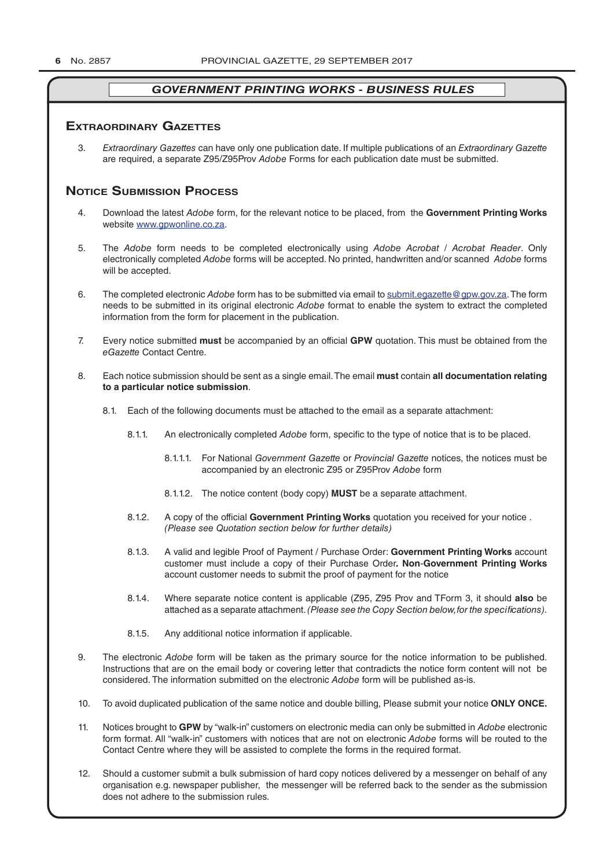#### **exTrAordinAry gAzeTTes**

3. *Extraordinary Gazettes* can have only one publication date. If multiple publications of an *Extraordinary Gazette* are required, a separate Z95/Z95Prov *Adobe* Forms for each publication date must be submitted.

## **NOTICE SUBMISSION PROCESS**

- 4. Download the latest *Adobe* form, for the relevant notice to be placed, from the **Government Printing Works** website www.gpwonline.co.za.
- 5. The *Adobe* form needs to be completed electronically using *Adobe Acrobat* / *Acrobat Reader*. Only electronically completed *Adobe* forms will be accepted. No printed, handwritten and/or scanned *Adobe* forms will be accepted.
- 6. The completed electronic *Adobe* form has to be submitted via email to submit.egazette@gpw.gov.za. The form needs to be submitted in its original electronic *Adobe* format to enable the system to extract the completed information from the form for placement in the publication.
- 7. Every notice submitted **must** be accompanied by an official **GPW** quotation. This must be obtained from the *eGazette* Contact Centre.
- 8. Each notice submission should be sent as a single email. The email **must** contain **all documentation relating to a particular notice submission**.
	- 8.1. Each of the following documents must be attached to the email as a separate attachment:
		- 8.1.1. An electronically completed *Adobe* form, specific to the type of notice that is to be placed.
			- 8.1.1.1. For National *Government Gazette* or *Provincial Gazette* notices, the notices must be accompanied by an electronic Z95 or Z95Prov *Adobe* form
			- 8.1.1.2. The notice content (body copy) **MUST** be a separate attachment.
		- 8.1.2. A copy of the official **Government Printing Works** quotation you received for your notice . *(Please see Quotation section below for further details)*
		- 8.1.3. A valid and legible Proof of Payment / Purchase Order: **Government Printing Works** account customer must include a copy of their Purchase Order*.* **Non**-**Government Printing Works** account customer needs to submit the proof of payment for the notice
		- 8.1.4. Where separate notice content is applicable (Z95, Z95 Prov and TForm 3, it should **also** be attached as a separate attachment. *(Please see the Copy Section below, for the specifications)*.
		- 8.1.5. Any additional notice information if applicable.
- 9. The electronic *Adobe* form will be taken as the primary source for the notice information to be published. Instructions that are on the email body or covering letter that contradicts the notice form content will not be considered. The information submitted on the electronic *Adobe* form will be published as-is.
- 10. To avoid duplicated publication of the same notice and double billing, Please submit your notice **ONLY ONCE.**
- 11. Notices brought to **GPW** by "walk-in" customers on electronic media can only be submitted in *Adobe* electronic form format. All "walk-in" customers with notices that are not on electronic *Adobe* forms will be routed to the Contact Centre where they will be assisted to complete the forms in the required format.
- 12. Should a customer submit a bulk submission of hard copy notices delivered by a messenger on behalf of any organisation e.g. newspaper publisher, the messenger will be referred back to the sender as the submission does not adhere to the submission rules.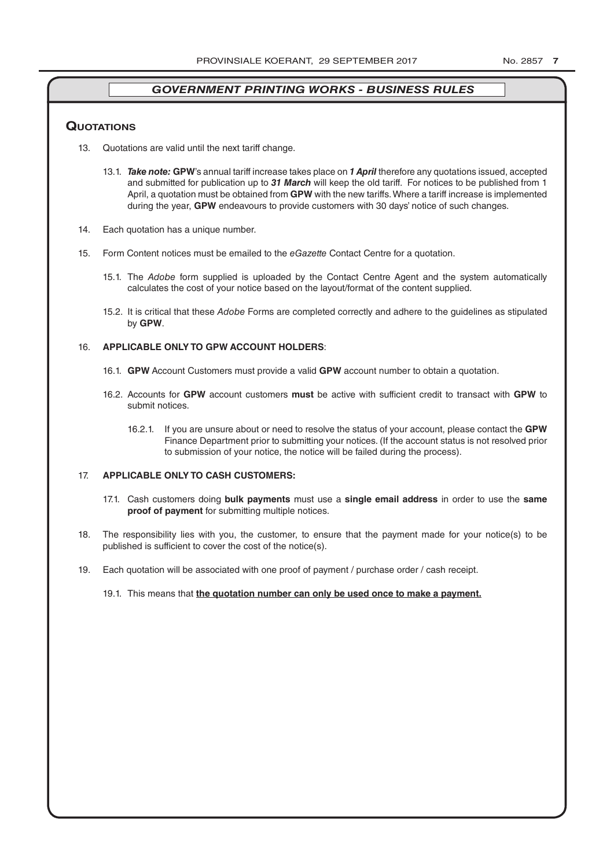## **QuoTATions**

- 13. Quotations are valid until the next tariff change.
	- 13.1. *Take note:* **GPW**'s annual tariff increase takes place on *1 April* therefore any quotations issued, accepted and submitted for publication up to *31 March* will keep the old tariff. For notices to be published from 1 April, a quotation must be obtained from **GPW** with the new tariffs. Where a tariff increase is implemented during the year, **GPW** endeavours to provide customers with 30 days' notice of such changes.
- 14. Each quotation has a unique number.
- 15. Form Content notices must be emailed to the *eGazette* Contact Centre for a quotation.
	- 15.1. The *Adobe* form supplied is uploaded by the Contact Centre Agent and the system automatically calculates the cost of your notice based on the layout/format of the content supplied.
	- 15.2. It is critical that these *Adobe* Forms are completed correctly and adhere to the guidelines as stipulated by **GPW**.

### 16. **APPLICABLE ONLY TO GPW ACCOUNT HOLDERS**:

- 16.1. **GPW** Account Customers must provide a valid **GPW** account number to obtain a quotation.
- 16.2. Accounts for **GPW** account customers **must** be active with sufficient credit to transact with **GPW** to submit notices.
	- 16.2.1. If you are unsure about or need to resolve the status of your account, please contact the **GPW** Finance Department prior to submitting your notices. (If the account status is not resolved prior to submission of your notice, the notice will be failed during the process).

#### 17. **APPLICABLE ONLY TO CASH CUSTOMERS:**

- 17.1. Cash customers doing **bulk payments** must use a **single email address** in order to use the **same proof of payment** for submitting multiple notices.
- 18. The responsibility lies with you, the customer, to ensure that the payment made for your notice(s) to be published is sufficient to cover the cost of the notice(s).
- 19. Each quotation will be associated with one proof of payment / purchase order / cash receipt.
	- 19.1. This means that **the quotation number can only be used once to make a payment.**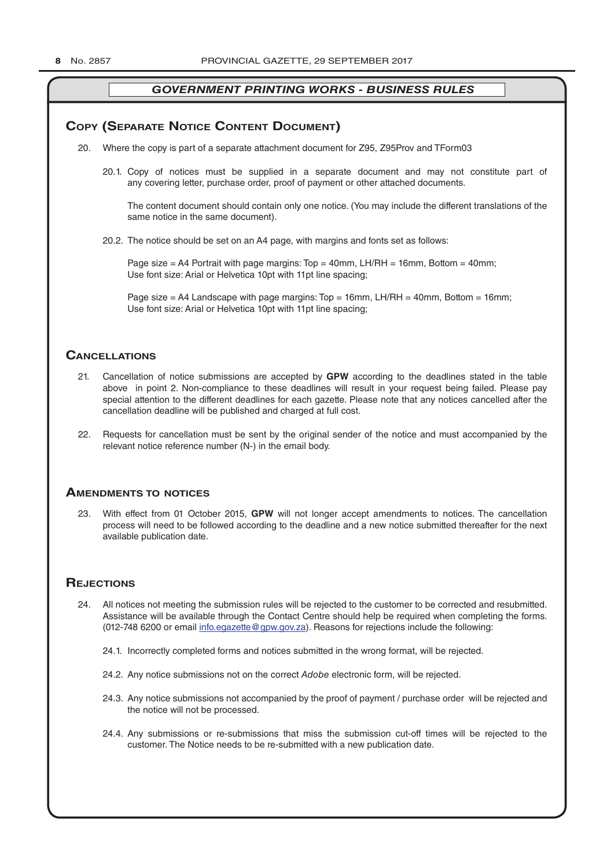### **COPY (SEPARATE NOTICE CONTENT DOCUMENT)**

- 20. Where the copy is part of a separate attachment document for Z95, Z95Prov and TForm03
	- 20.1. Copy of notices must be supplied in a separate document and may not constitute part of any covering letter, purchase order, proof of payment or other attached documents.

The content document should contain only one notice. (You may include the different translations of the same notice in the same document).

20.2. The notice should be set on an A4 page, with margins and fonts set as follows:

Page size  $=$  A4 Portrait with page margins: Top  $=$  40mm, LH/RH  $=$  16mm, Bottom  $=$  40mm; Use font size: Arial or Helvetica 10pt with 11pt line spacing;

Page size = A4 Landscape with page margins: Top = 16mm, LH/RH = 40mm, Bottom = 16mm; Use font size: Arial or Helvetica 10pt with 11pt line spacing;

## **CAnCellATions**

- 21. Cancellation of notice submissions are accepted by **GPW** according to the deadlines stated in the table above in point 2. Non-compliance to these deadlines will result in your request being failed. Please pay special attention to the different deadlines for each gazette. Please note that any notices cancelled after the cancellation deadline will be published and charged at full cost.
- 22. Requests for cancellation must be sent by the original sender of the notice and must accompanied by the relevant notice reference number (N-) in the email body.

### **AmendmenTs To noTiCes**

23. With effect from 01 October 2015, **GPW** will not longer accept amendments to notices. The cancellation process will need to be followed according to the deadline and a new notice submitted thereafter for the next available publication date.

## **REJECTIONS**

- 24. All notices not meeting the submission rules will be rejected to the customer to be corrected and resubmitted. Assistance will be available through the Contact Centre should help be required when completing the forms. (012-748 6200 or email info.egazette@gpw.gov.za). Reasons for rejections include the following:
	- 24.1. Incorrectly completed forms and notices submitted in the wrong format, will be rejected.
	- 24.2. Any notice submissions not on the correct *Adobe* electronic form, will be rejected.
	- 24.3. Any notice submissions not accompanied by the proof of payment / purchase order will be rejected and the notice will not be processed.
	- 24.4. Any submissions or re-submissions that miss the submission cut-off times will be rejected to the customer. The Notice needs to be re-submitted with a new publication date.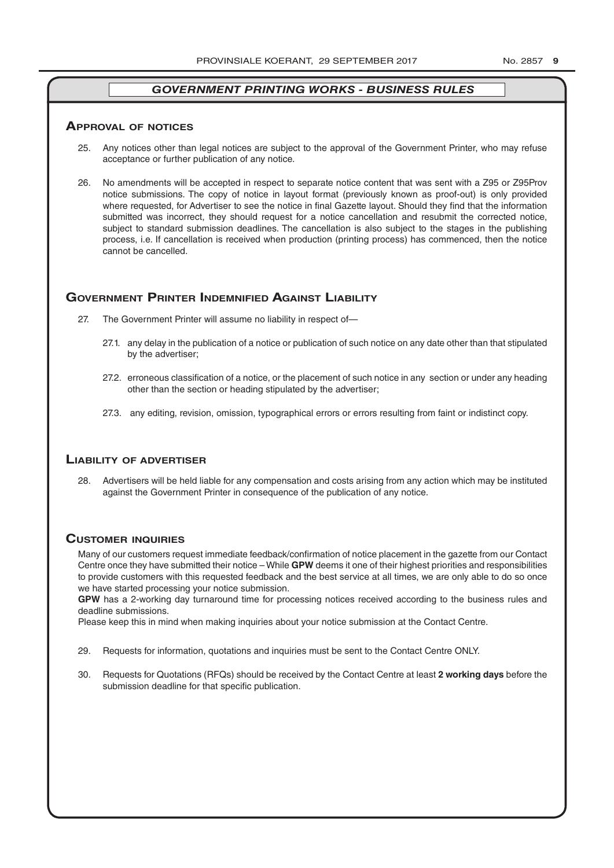#### **ApprovAl of noTiCes**

- 25. Any notices other than legal notices are subject to the approval of the Government Printer, who may refuse acceptance or further publication of any notice.
- 26. No amendments will be accepted in respect to separate notice content that was sent with a Z95 or Z95Prov notice submissions. The copy of notice in layout format (previously known as proof-out) is only provided where requested, for Advertiser to see the notice in final Gazette layout. Should they find that the information submitted was incorrect, they should request for a notice cancellation and resubmit the corrected notice, subject to standard submission deadlines. The cancellation is also subject to the stages in the publishing process, i.e. If cancellation is received when production (printing process) has commenced, then the notice cannot be cancelled.

## **governmenT prinTer indemnified AgAinsT liAbiliTy**

- 27. The Government Printer will assume no liability in respect of—
	- 27.1. any delay in the publication of a notice or publication of such notice on any date other than that stipulated by the advertiser;
	- 27.2. erroneous classification of a notice, or the placement of such notice in any section or under any heading other than the section or heading stipulated by the advertiser;
	- 27.3. any editing, revision, omission, typographical errors or errors resulting from faint or indistinct copy.

#### **liAbiliTy of AdverTiser**

28. Advertisers will be held liable for any compensation and costs arising from any action which may be instituted against the Government Printer in consequence of the publication of any notice.

### **CusTomer inQuiries**

Many of our customers request immediate feedback/confirmation of notice placement in the gazette from our Contact Centre once they have submitted their notice – While **GPW** deems it one of their highest priorities and responsibilities to provide customers with this requested feedback and the best service at all times, we are only able to do so once we have started processing your notice submission.

**GPW** has a 2-working day turnaround time for processing notices received according to the business rules and deadline submissions.

Please keep this in mind when making inquiries about your notice submission at the Contact Centre.

- 29. Requests for information, quotations and inquiries must be sent to the Contact Centre ONLY.
- 30. Requests for Quotations (RFQs) should be received by the Contact Centre at least **2 working days** before the submission deadline for that specific publication.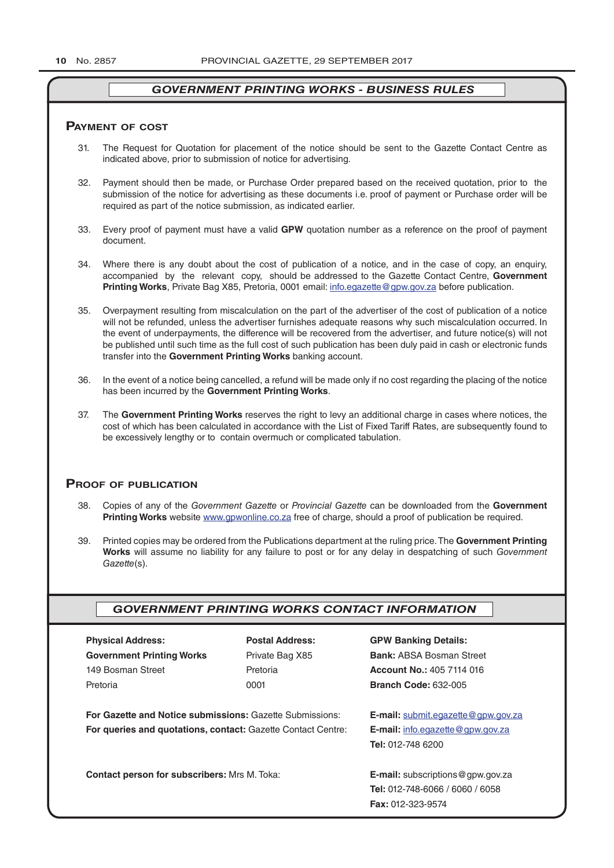#### **pAymenT of CosT**

- 31. The Request for Quotation for placement of the notice should be sent to the Gazette Contact Centre as indicated above, prior to submission of notice for advertising.
- 32. Payment should then be made, or Purchase Order prepared based on the received quotation, prior to the submission of the notice for advertising as these documents i.e. proof of payment or Purchase order will be required as part of the notice submission, as indicated earlier.
- 33. Every proof of payment must have a valid **GPW** quotation number as a reference on the proof of payment document.
- 34. Where there is any doubt about the cost of publication of a notice, and in the case of copy, an enquiry, accompanied by the relevant copy, should be addressed to the Gazette Contact Centre, **Government Printing Works**, Private Bag X85, Pretoria, 0001 email: info.egazette@gpw.gov.za before publication.
- 35. Overpayment resulting from miscalculation on the part of the advertiser of the cost of publication of a notice will not be refunded, unless the advertiser furnishes adequate reasons why such miscalculation occurred. In the event of underpayments, the difference will be recovered from the advertiser, and future notice(s) will not be published until such time as the full cost of such publication has been duly paid in cash or electronic funds transfer into the **Government Printing Works** banking account.
- 36. In the event of a notice being cancelled, a refund will be made only if no cost regarding the placing of the notice has been incurred by the **Government Printing Works**.
- 37. The **Government Printing Works** reserves the right to levy an additional charge in cases where notices, the cost of which has been calculated in accordance with the List of Fixed Tariff Rates, are subsequently found to be excessively lengthy or to contain overmuch or complicated tabulation.

## **proof of publiCATion**

- 38. Copies of any of the *Government Gazette* or *Provincial Gazette* can be downloaded from the **Government Printing Works** website www.gpwonline.co.za free of charge, should a proof of publication be required.
- 39. Printed copies may be ordered from the Publications department at the ruling price. The **Government Printing Works** will assume no liability for any failure to post or for any delay in despatching of such *Government Gazette*(s).

## *GOVERNMENT PRINTING WORKS CONTACT INFORMATION*

| <b>Physical Address:</b>                                                                                                              | <b>Postal Address:</b> |
|---------------------------------------------------------------------------------------------------------------------------------------|------------------------|
| <b>Government Printing Works</b>                                                                                                      | Private Bag X85        |
| 149 Bosman Street                                                                                                                     | Pretoria               |
| Pretoria                                                                                                                              | 0001                   |
| <b>For Gazette and Notice submissions: Gazette Submissions:</b><br><b>For queries and quotations, contact: Gazette Contact Centre</b> |                        |

**Branch Code: 632-005** 

**Physical Address: Postal Address: GPW Banking Details: Bank: ABSA Bosman Street Account No.: 405 7114 016** 

**E-mail:** submit.egazette@gpw.gov.za **F-mail:** *info.egazette@gpw.gov.za* **Tel:** 012-748 6200

**Contact person for subscribers:** Mrs M. Toka: **E-mail:** subscriptions@gpw.gov.za **Tel:** 012-748-6066 / 6060 / 6058 **Fax:** 012-323-9574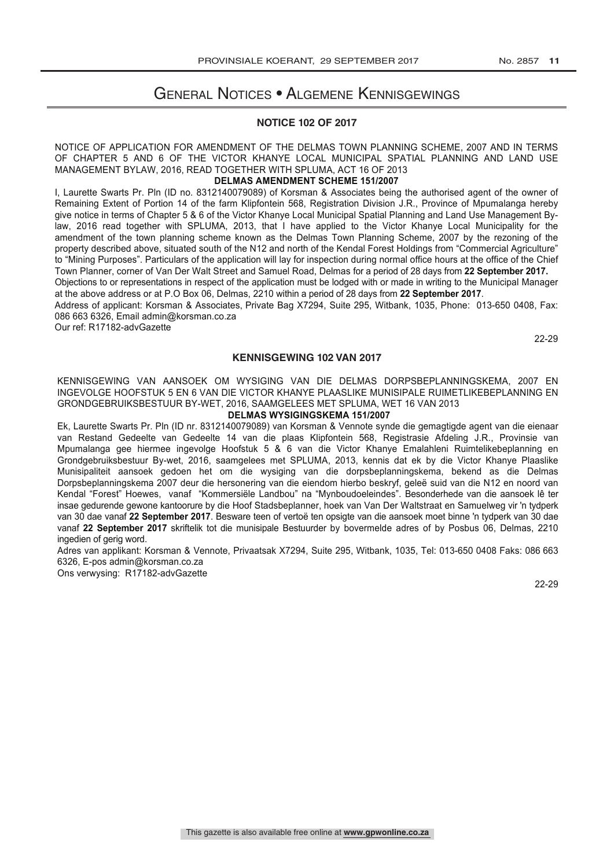## General Notices • Algemene Kennisgewings

#### **NOTICE 102 OF 2017**

NOTICE OF APPLICATION FOR AMENDMENT OF THE DELMAS TOWN PLANNING SCHEME, 2007 AND IN TERMS OF CHAPTER 5 AND 6 OF THE VICTOR KHANYE LOCAL MUNICIPAL SPATIAL PLANNING AND LAND USE MANAGEMENT BYLAW, 2016, READ TOGETHER WITH SPLUMA, ACT 16 OF 2013

#### **DELMAS AMENDMENT SCHEME 151/2007**

I, Laurette Swarts Pr. Pln (ID no. 8312140079089) of Korsman & Associates being the authorised agent of the owner of Remaining Extent of Portion 14 of the farm Klipfontein 568, Registration Division J.R., Province of Mpumalanga hereby give notice in terms of Chapter 5 & 6 of the Victor Khanye Local Municipal Spatial Planning and Land Use Management Bylaw, 2016 read together with SPLUMA, 2013, that I have applied to the Victor Khanye Local Municipality for the amendment of the town planning scheme known as the Delmas Town Planning Scheme, 2007 by the rezoning of the property described above, situated south of the N12 and north of the Kendal Forest Holdings from "Commercial Agriculture" to "Mining Purposes". Particulars of the application will lay for inspection during normal office hours at the office of the Chief Town Planner, corner of Van Der Walt Street and Samuel Road, Delmas for a period of 28 days from **22 September 2017.**

Objections to or representations in respect of the application must be lodged with or made in writing to the Municipal Manager at the above address or at P.O Box 06, Delmas, 2210 within a period of 28 days from **22 September 2017**.

Address of applicant: Korsman & Associates, Private Bag X7294, Suite 295, Witbank, 1035, Phone: 013-650 0408, Fax: 086 663 6326, Email admin@korsman.co.za

Our ref: R17182-advGazette

22-29

#### **KENNISGEWING 102 VAN 2017**

KENNISGEWING VAN AANSOEK OM WYSIGING VAN DIE DELMAS DORPSBEPLANNINGSKEMA, 2007 EN INGEVOLGE HOOFSTUK 5 EN 6 VAN DIE VICTOR KHANYE PLAASLIKE MUNISIPALE RUIMETLIKEBEPLANNING EN GRONDGEBRUIKSBESTUUR BY-WET, 2016, SAAMGELEES MET SPLUMA, WET 16 VAN 2013

#### **DELMAS WYSIGINGSKEMA 151/2007**

Ek, Laurette Swarts Pr. Pln (ID nr. 8312140079089) van Korsman & Vennote synde die gemagtigde agent van die eienaar van Restand Gedeelte van Gedeelte 14 van die plaas Klipfontein 568, Registrasie Afdeling J.R., Provinsie van Mpumalanga gee hiermee ingevolge Hoofstuk 5 & 6 van die Victor Khanye Emalahleni Ruimtelikebeplanning en Grondgebruiksbestuur By-wet, 2016, saamgelees met SPLUMA, 2013, kennis dat ek by die Victor Khanye Plaaslike Munisipaliteit aansoek gedoen het om die wysiging van die dorpsbeplanningskema, bekend as die Delmas Dorpsbeplanningskema 2007 deur die hersonering van die eiendom hierbo beskryf, geleë suid van die N12 en noord van Kendal "Forest" Hoewes, vanaf "Kommersiële Landbou" na "Mynboudoeleindes". Besonderhede van die aansoek lê ter insae gedurende gewone kantoorure by die Hoof Stadsbeplanner, hoek van Van Der Waltstraat en Samuelweg vir 'n tydperk van 30 dae vanaf **22 September 2017**. Besware teen of vertoë ten opsigte van die aansoek moet binne 'n tydperk van 30 dae vanaf **22 September 2017** skriftelik tot die munisipale Bestuurder by bovermelde adres of by Posbus 06, Delmas, 2210 ingedien of gerig word.

Adres van applikant: Korsman & Vennote, Privaatsak X7294, Suite 295, Witbank, 1035, Tel: 013-650 0408 Faks: 086 663 6326, E-pos admin@korsman.co.za

Ons verwysing: R17182-advGazette

22-29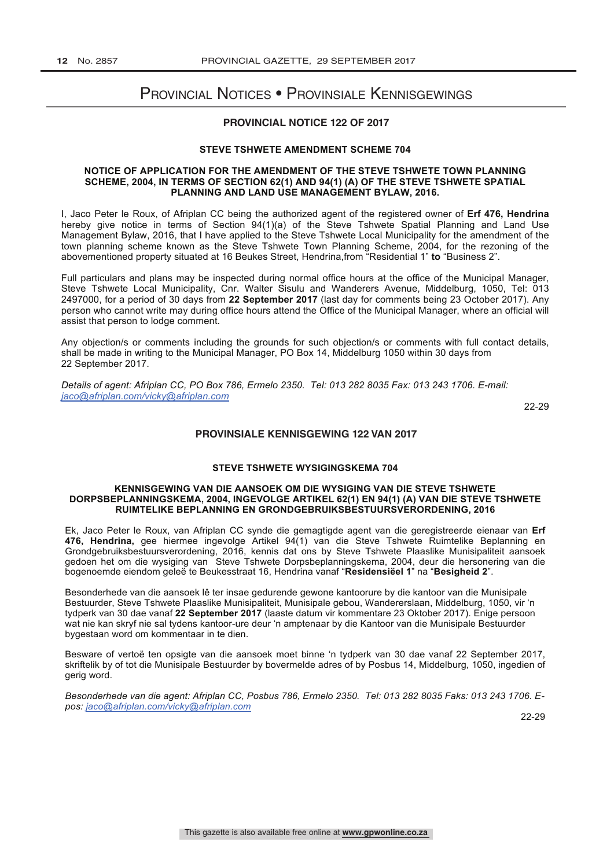## Provincial Notices • Provinsiale Kennisgewings

## **PROVINCIAL NOTICE 122 OF 2017**

#### **STEVE TSHWETE AMENDMENT SCHEME 704**

#### **NOTICE OF APPLICATION FOR THE AMENDMENT OF THE STEVE TSHWETE TOWN PLANNING SCHEME, 2004, IN TERMS OF SECTION 62(1) AND 94(1) (A) OF THE STEVE TSHWETE SPATIAL PLANNING AND LAND USE MANAGEMENT BYLAW, 2016.**

I, Jaco Peter le Roux, of Afriplan CC being the authorized agent of the registered owner of **Erf 476, Hendrina** hereby give notice in terms of Section 94(1)(a) of the Steve Tshwete Spatial Planning and Land Use Management Bylaw, 2016, that I have applied to the Steve Tshwete Local Municipality for the amendment of the town planning scheme known as the Steve Tshwete Town Planning Scheme, 2004, for the rezoning of the abovementioned property situated at 16 Beukes Street, Hendrina,from "Residential 1" **to** "Business 2".

Full particulars and plans may be inspected during normal office hours at the office of the Municipal Manager, Steve Tshwete Local Municipality, Cnr. Walter Sisulu and Wanderers Avenue, Middelburg, 1050, Tel: 013 2497000, for a period of 30 days from **22 September 2017** (last day for comments being 23 October 2017). Any person who cannot write may during office hours attend the Office of the Municipal Manager, where an official will assist that person to lodge comment.

Any objection/s or comments including the grounds for such objection/s or comments with full contact details, shall be made in writing to the Municipal Manager, PO Box 14, Middelburg 1050 within 30 days from 22 September 2017.

*Details of agent: Afriplan CC, PO Box 786, Ermelo 2350. Tel: 013 282 8035 Fax: 013 243 1706. E-mail: jaco@afriplan.com/vicky@afriplan.com*

22-29

#### **PROVINSIALE KENNISGEWING 122 VAN 2017**

#### **STEVE TSHWETE WYSIGINGSKEMA 704**

#### **KENNISGEWING VAN DIE AANSOEK OM DIE WYSIGING VAN DIE STEVE TSHWETE DORPSBEPLANNINGSKEMA, 2004, INGEVOLGE ARTIKEL 62(1) EN 94(1) (A) VAN DIE STEVE TSHWETE RUIMTELIKE BEPLANNING EN GRONDGEBRUIKSBESTUURSVERORDENING, 2016**

Ek, Jaco Peter le Roux, van Afriplan CC synde die gemagtigde agent van die geregistreerde eienaar van **Erf 476, Hendrina,** gee hiermee ingevolge Artikel 94(1) van die Steve Tshwete Ruimtelike Beplanning en Grondgebruiksbestuursverordening, 2016, kennis dat ons by Steve Tshwete Plaaslike Munisipaliteit aansoek gedoen het om die wysiging van Steve Tshwete Dorpsbeplanningskema, 2004, deur die hersonering van die bogenoemde eiendom geleë te Beukesstraat 16, Hendrina vanaf "**Residensiëel 1**" na "**Besigheid 2**".

Besonderhede van die aansoek lê ter insae gedurende gewone kantoorure by die kantoor van die Munisipale Bestuurder, Steve Tshwete Plaaslike Munisipaliteit, Munisipale gebou, Wandererslaan, Middelburg, 1050, vir 'n tydperk van 30 dae vanaf **22 September 2017** (laaste datum vir kommentare 23 Oktober 2017). Enige persoon wat nie kan skryf nie sal tydens kantoor-ure deur 'n amptenaar by die Kantoor van die Munisipale Bestuurder bygestaan word om kommentaar in te dien.

Besware of vertoë ten opsigte van die aansoek moet binne 'n tydperk van 30 dae vanaf 22 September 2017, skriftelik by of tot die Munisipale Bestuurder by bovermelde adres of by Posbus 14, Middelburg, 1050, ingedien of gerig word.

*Besonderhede van die agent: Afriplan CC, Posbus 786, Ermelo 2350. Tel: 013 282 8035 Faks: 013 243 1706. Epos: jaco@afriplan.com/vicky@afriplan.com*

22-29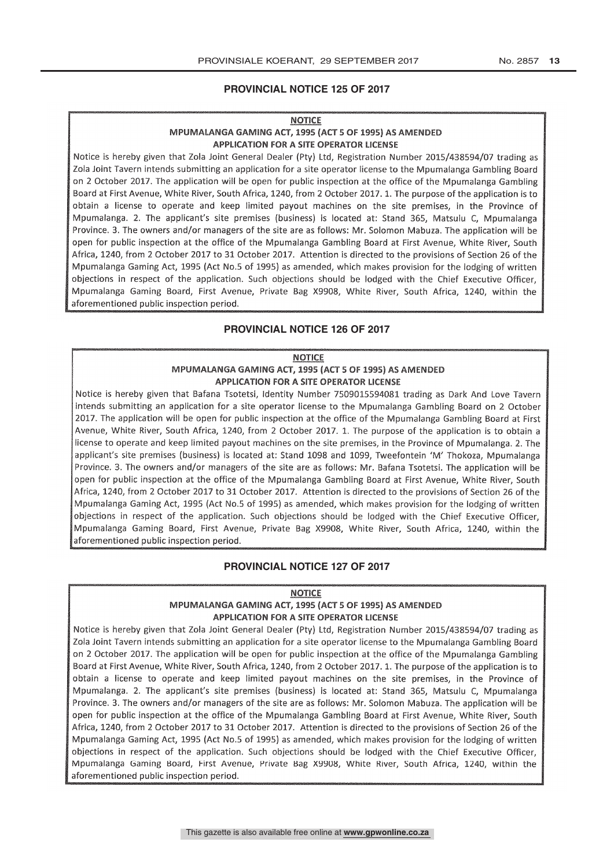#### **PROVINCIAL NOTICE 125 OF 2017**

#### **NOTICE**

#### MPUMALANGA GAMING ACT, 1995 (ACT 5 OF 1995) AS AMENDED APPLICATION FOR A SITE OPERATOR LICENSE

Notice is hereby given that Zola Joint General Dealer (Pty) Ltd' Registration Number 2015/438594/07 trading as Zola Joint Tavern intends submitting an application for a site operator license to the Mpumalanga Gambling Board on 2 October 2017. The application will be open for public inspection at the office of the Mpumalanga Gambling Board at First Avenue, White River, South Africa, 1240, from 2 October 2017. 1. The purpose of the application is to obtain a license to operate and keep limited payout machines on the site premises, in the Province of Mpumalanga. 2. The applicant's site premises (business) is located at: Stand 365, Matsulu C, Mpumalanga Province. 3. The owners and/or managers of the site are as follows: Mr. Solomon Mabuza. The application will be open for public inspection at the office of the Mpumalanga Gambling Board at First Avenue, White River, South Africa, 1240, from 2 October 2017 to 31 October 2017. Attention is directed to the provisions of Section 26 of the Mpumalanga Gaming Act, 1995 (Act No.5 of I995) as amended, which makes provision for the lodging of written objections in respect of the application. Such objections should be lodged with the Chief Executive Officer, Mpumalanga Gaming Board, First Avenue, Private Bag X9908, White River, South Africa, 1240, within the aforementioned public inspection period.

#### **PROVINCIAL NOTICE 126 OF 2017**

#### **NOTICE** MPUMALANGA GAMING ACT 1995 (ACT 5 OF 1995) AS AMENDED APPLICATION FOR A SITE OPERATOR LICENSE

Notice is hereby given that Dafana Tsotetsi, Identity Number 7509015594081 trading as Dark And Love Tavern intends submitting an application for a site operator license to the Mpumalanga Gambling Board on 2 October 2017. The application will be open for public inspection at the office of the Mpumalanga Gambling Board at First Avenue, White River, South Africa, 1240, from 2 October 2017. 1. The purpose of the application is to obtain a license to operate and keep limited payout machines on the site premises, in the Province of Mpumalanga. 2. The applicant's site premises (business) is located at: Stand 1098 and 1099, Tweefontein 'M' Thokoza, Mpumalanga Province. 3. The owners and/or managers of the site are as follows: Mr. Bafana Tsotetsi. The application will be open for public inspection at the office of the Mpumalanga Gambling Board at First Avenue, White River, South Africa, 1240, from 2 October 2017 to 31 October 2017. Attention is directed to the provisions of Section 26 of the Mpumalanga Gaming Act, 1995 (Act No.5 of 1995) as amended, which makes provision for the lodging of written objections in respect of the application. Such objections should be lodged with the Chief Executive Officer, Mpumalanga Gaming Board, First Avenue, Private Bag X9908, White River, South Africa, 1240, within the aforementioned public inspection period.

#### **PROVINCIAL NOTICE 127 OF 2017**

**NOTICE** 

## MPUMALANGA GAMING ACT, 1995 (ACT 5 OF 1995) AS AMENDED **APPLICATION FOR A SITE OPERATOR LICENSE**

Notice is hereby given that Zola Joint General Dealer (Pty) Ltd, Registration Number 2015/438594/07 trading as Zola Joint Tavern intends submitting an application for a site operator license to the Mpumalanga Gambling Board on 2 October 2017. The application will be open for public inspection at the office of the Mpumalanga Gambling Board at First Avenue, White River, South Africa, 1240, from 2 October 2017. 1. The purpose of the application is to obtain a license to operate and keep limited payout machines on the site premises, in the Province of Mpumalanga. 2. The applicant's site premises (business) is located at: Stand 365, Matsulu C, Mpumalanga Province. 3. The owners and/or managers of the site are as follows: Mr. Solomon Mabuza. The application will be open for public inspection at the office of the Mpumalanga Gambling Board at First Avenue, White River, South Africa, 1240, from 2 October 2017 to 31 October 2017. Attention is directed to the provisions of Section 26 of the Mpumalanga Gaming Act, 1995 (Act No.5 of 1995) as amended, which makes provision for the lodging of written objections in respect of the application. Such objections should be lodged with the Chief Executive Officer, Mpumalanga Gaming Board, First Avenue, Private Bag X9908, White River, South Africa, 1240, within the aforementioned public inspection period.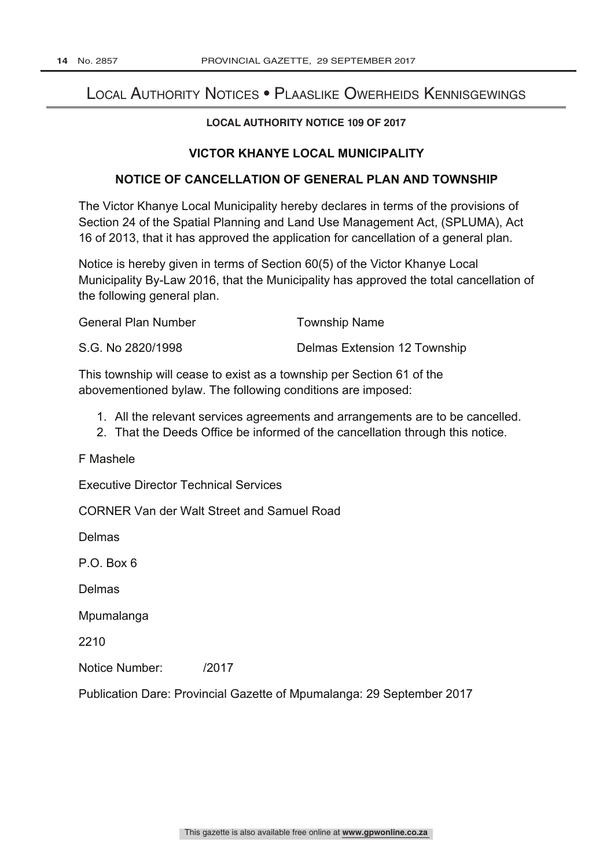## Local Authority Notices • Plaaslike Owerheids Kennisgewings

## **LOCAL AUTHORITY NOTICE 109 OF 2017**

## **VICTOR KHANYE LOCAL MUNICIPALITY**

## **NOTICE OF CANCELLATION OF GENERAL PLAN AND TOWNSHIP**

The Victor Khanye Local Municipality hereby declares in terms of the provisions of Section 24 of the Spatial Planning and Land Use Management Act, (SPLUMA), Act 16 of 2013, that it has approved the application for cancellation of a general plan.

Notice is hereby given in terms of Section 60(5) of the Victor Khanye Local Municipality By-Law 2016, that the Municipality has approved the total cancellation of the following general plan.

| <b>General Plan Number</b> | Township Name |
|----------------------------|---------------|
|                            |               |

| Delmas Extension 12 Township |
|------------------------------|
|                              |

This township will cease to exist as a township per Section 61 of the abovementioned bylaw. The following conditions are imposed:

- 1. All the relevant services agreements and arrangements are to be cancelled.
- 2. That the Deeds Office be informed of the cancellation through this notice.

F Mashele

Executive Director Technical Services

CORNER Van der Walt Street and Samuel Road

Delmas

P.O. Box 6

Delmas

Mpumalanga

2210

Notice Number: /2017

Publication Dare: Provincial Gazette of Mpumalanga: 29 September 2017